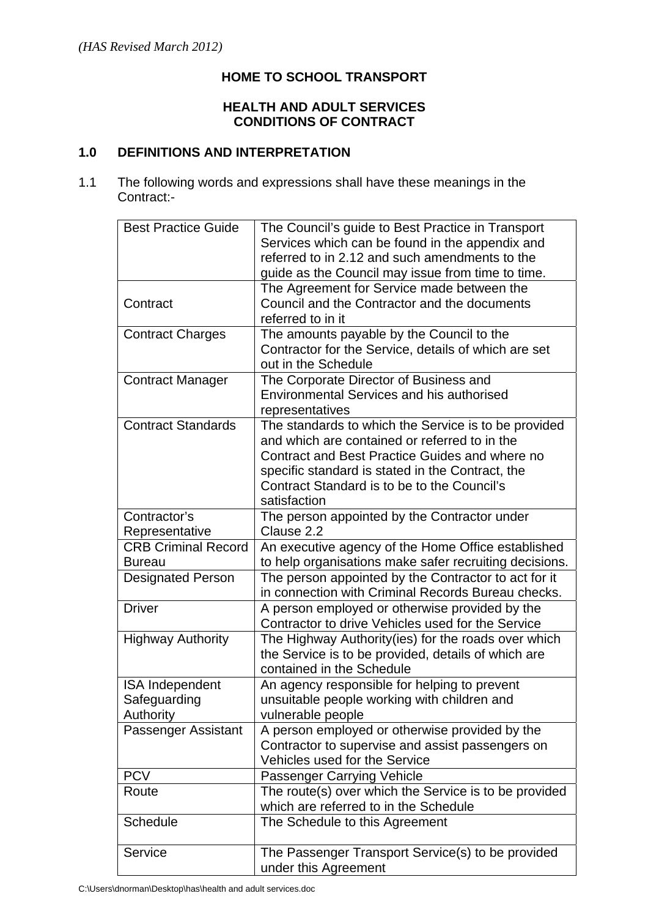### **HOME TO SCHOOL TRANSPORT**

## **HEALTH AND ADULT SERVICES CONDITIONS OF CONTRACT**

## **1.0 DEFINITIONS AND INTERPRETATION**

1.1 The following words and expressions shall have these meanings in the Contract:-

| <b>Best Practice Guide</b> | The Council's guide to Best Practice in Transport                                                            |
|----------------------------|--------------------------------------------------------------------------------------------------------------|
|                            | Services which can be found in the appendix and                                                              |
|                            | referred to in 2.12 and such amendments to the                                                               |
|                            | guide as the Council may issue from time to time.                                                            |
|                            | The Agreement for Service made between the                                                                   |
| Contract                   | Council and the Contractor and the documents                                                                 |
|                            | referred to in it                                                                                            |
| <b>Contract Charges</b>    | The amounts payable by the Council to the                                                                    |
|                            | Contractor for the Service, details of which are set                                                         |
|                            | out in the Schedule                                                                                          |
| <b>Contract Manager</b>    | The Corporate Director of Business and                                                                       |
|                            | <b>Environmental Services and his authorised</b>                                                             |
|                            | representatives                                                                                              |
| <b>Contract Standards</b>  | The standards to which the Service is to be provided                                                         |
|                            | and which are contained or referred to in the                                                                |
|                            | Contract and Best Practice Guides and where no                                                               |
|                            | specific standard is stated in the Contract, the                                                             |
|                            | Contract Standard is to be to the Council's                                                                  |
|                            | satisfaction                                                                                                 |
| Contractor's               | The person appointed by the Contractor under                                                                 |
| Representative             | Clause 2.2                                                                                                   |
| <b>CRB Criminal Record</b> |                                                                                                              |
| <b>Bureau</b>              | An executive agency of the Home Office established<br>to help organisations make safer recruiting decisions. |
|                            |                                                                                                              |
| <b>Designated Person</b>   | The person appointed by the Contractor to act for it                                                         |
|                            | in connection with Criminal Records Bureau checks.                                                           |
| <b>Driver</b>              | A person employed or otherwise provided by the                                                               |
|                            | Contractor to drive Vehicles used for the Service                                                            |
| <b>Highway Authority</b>   | The Highway Authority(ies) for the roads over which                                                          |
|                            | the Service is to be provided, details of which are                                                          |
|                            | contained in the Schedule                                                                                    |
| <b>ISA Independent</b>     | An agency responsible for helping to prevent                                                                 |
| Safeguarding               | unsuitable people working with children and                                                                  |
| Authority                  | vulnerable people                                                                                            |
| Passenger Assistant        | A person employed or otherwise provided by the                                                               |
|                            | Contractor to supervise and assist passengers on                                                             |
|                            | Vehicles used for the Service                                                                                |
| <b>PCV</b>                 | <b>Passenger Carrying Vehicle</b>                                                                            |
| Route                      | The route(s) over which the Service is to be provided                                                        |
|                            |                                                                                                              |
|                            | which are referred to in the Schedule                                                                        |
| Schedule                   | The Schedule to this Agreement                                                                               |
| Service                    | The Passenger Transport Service(s) to be provided                                                            |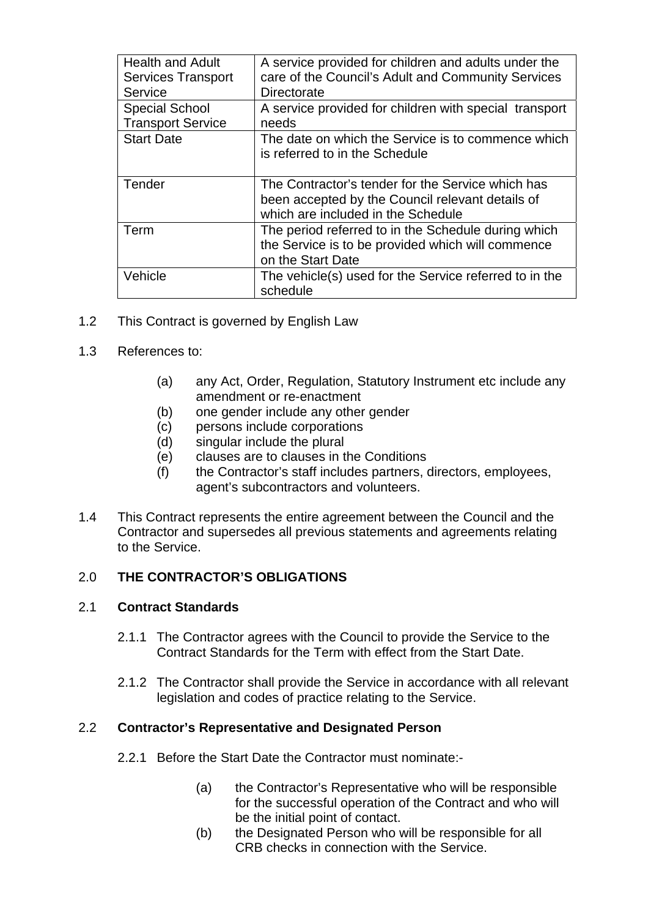| <b>Health and Adult</b><br><b>Services Transport</b><br>Service | A service provided for children and adults under the<br>care of the Council's Adult and Community Services<br>Directorate                   |
|-----------------------------------------------------------------|---------------------------------------------------------------------------------------------------------------------------------------------|
| <b>Special School</b><br><b>Transport Service</b>               | A service provided for children with special transport<br>needs                                                                             |
| <b>Start Date</b>                                               | The date on which the Service is to commence which<br>is referred to in the Schedule                                                        |
| Tender                                                          | The Contractor's tender for the Service which has<br>been accepted by the Council relevant details of<br>which are included in the Schedule |
| Term                                                            | The period referred to in the Schedule during which<br>the Service is to be provided which will commence<br>on the Start Date               |
| Vehicle                                                         | The vehicle(s) used for the Service referred to in the<br>schedule                                                                          |

- 1.2 This Contract is governed by English Law
- 1.3 References to:
	- (a) any Act, Order, Regulation, Statutory Instrument etc include any amendment or re-enactment
	- (b) one gender include any other gender
	- (c) persons include corporations
	- (d) singular include the plural
	- (e) clauses are to clauses in the Conditions
	- (f) the Contractor's staff includes partners, directors, employees, agent's subcontractors and volunteers.
- 1.4 This Contract represents the entire agreement between the Council and the Contractor and supersedes all previous statements and agreements relating to the Service.

## 2.0 **THE CONTRACTOR'S OBLIGATIONS**

### 2.1 **Contract Standards**

- 2.1.1 The Contractor agrees with the Council to provide the Service to the Contract Standards for the Term with effect from the Start Date.
- 2.1.2 The Contractor shall provide the Service in accordance with all relevant legislation and codes of practice relating to the Service.

### 2.2 **Contractor's Representative and Designated Person**

- 2.2.1 Before the Start Date the Contractor must nominate:-
	- (a) the Contractor's Representative who will be responsible for the successful operation of the Contract and who will be the initial point of contact.
	- (b) the Designated Person who will be responsible for all CRB checks in connection with the Service.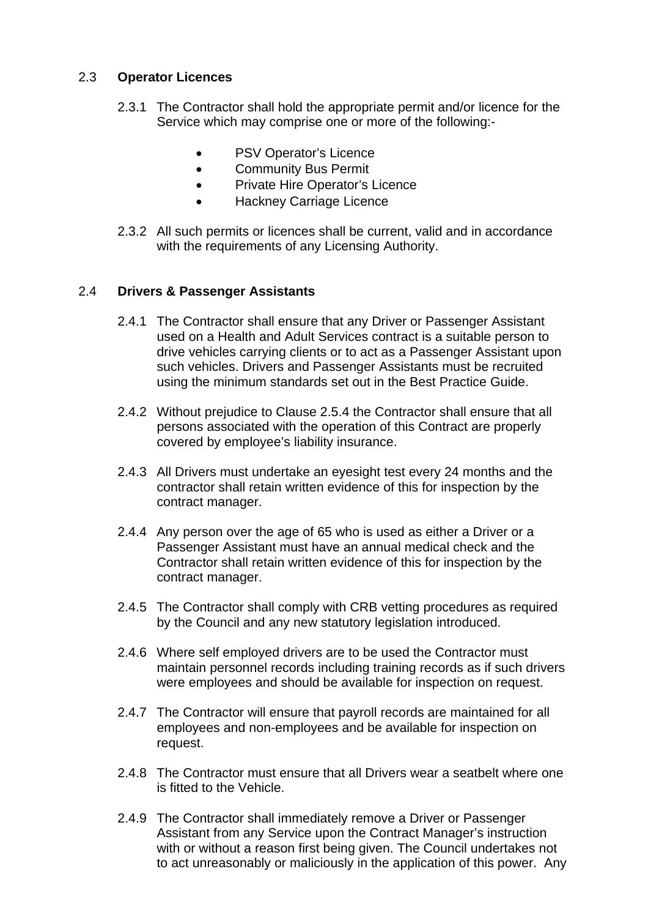## 2.3 **Operator Licences**

- 2.3.1 The Contractor shall hold the appropriate permit and/or licence for the Service which may comprise one or more of the following:-
	- PSV Operator's Licence
	- Community Bus Permit
	- Private Hire Operator's Licence
	- **•** Hackney Carriage Licence
- 2.3.2 All such permits or licences shall be current, valid and in accordance with the requirements of any Licensing Authority.

### 2.4 **Drivers & Passenger Assistants**

- 2.4.1 The Contractor shall ensure that any Driver or Passenger Assistant used on a Health and Adult Services contract is a suitable person to drive vehicles carrying clients or to act as a Passenger Assistant upon such vehicles. Drivers and Passenger Assistants must be recruited using the minimum standards set out in the Best Practice Guide.
- 2.4.2 Without prejudice to Clause 2.5.4 the Contractor shall ensure that all persons associated with the operation of this Contract are properly covered by employee's liability insurance.
- 2.4.3 All Drivers must undertake an eyesight test every 24 months and the contractor shall retain written evidence of this for inspection by the contract manager.
- 2.4.4 Any person over the age of 65 who is used as either a Driver or a Passenger Assistant must have an annual medical check and the Contractor shall retain written evidence of this for inspection by the contract manager.
- 2.4.5 The Contractor shall comply with CRB vetting procedures as required by the Council and any new statutory legislation introduced.
- 2.4.6 Where self employed drivers are to be used the Contractor must maintain personnel records including training records as if such drivers were employees and should be available for inspection on request.
- 2.4.7 The Contractor will ensure that payroll records are maintained for all employees and non-employees and be available for inspection on request.
- 2.4.8 The Contractor must ensure that all Drivers wear a seatbelt where one is fitted to the Vehicle.
- 2.4.9 The Contractor shall immediately remove a Driver or Passenger Assistant from any Service upon the Contract Manager's instruction with or without a reason first being given. The Council undertakes not to act unreasonably or maliciously in the application of this power. Any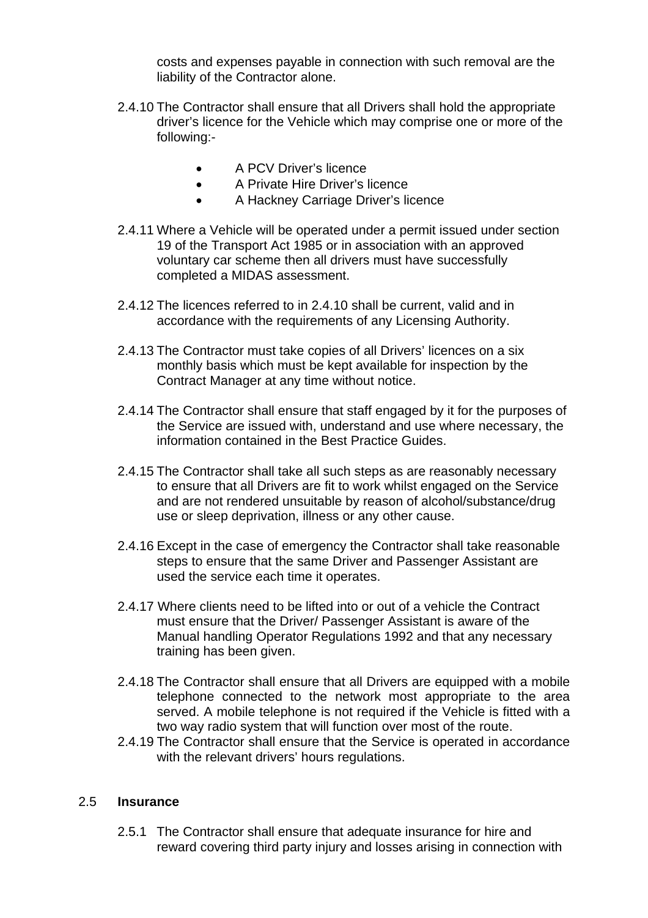costs and expenses payable in connection with such removal are the liability of the Contractor alone.

- 2.4.10 The Contractor shall ensure that all Drivers shall hold the appropriate driver's licence for the Vehicle which may comprise one or more of the following:-
	- A PCV Driver's licence
	- A Private Hire Driver's licence
	- A Hackney Carriage Driver's licence
- 2.4.11 Where a Vehicle will be operated under a permit issued under section 19 of the Transport Act 1985 or in association with an approved voluntary car scheme then all drivers must have successfully completed a MIDAS assessment.
- 2.4.12 The licences referred to in 2.4.10 shall be current, valid and in accordance with the requirements of any Licensing Authority.
- 2.4.13 The Contractor must take copies of all Drivers' licences on a six monthly basis which must be kept available for inspection by the Contract Manager at any time without notice.
- 2.4.14 The Contractor shall ensure that staff engaged by it for the purposes of the Service are issued with, understand and use where necessary, the information contained in the Best Practice Guides.
- 2.4.15 The Contractor shall take all such steps as are reasonably necessary to ensure that all Drivers are fit to work whilst engaged on the Service and are not rendered unsuitable by reason of alcohol/substance/drug use or sleep deprivation, illness or any other cause.
- 2.4.16 Except in the case of emergency the Contractor shall take reasonable steps to ensure that the same Driver and Passenger Assistant are used the service each time it operates.
- 2.4.17 Where clients need to be lifted into or out of a vehicle the Contract must ensure that the Driver/ Passenger Assistant is aware of the Manual handling Operator Regulations 1992 and that any necessary training has been given.
- 2.4.18 The Contractor shall ensure that all Drivers are equipped with a mobile telephone connected to the network most appropriate to the area served. A mobile telephone is not required if the Vehicle is fitted with a two way radio system that will function over most of the route.
- 2.4.19 The Contractor shall ensure that the Service is operated in accordance with the relevant drivers' hours regulations.

#### 2.5 **Insurance**

2.5.1 The Contractor shall ensure that adequate insurance for hire and reward covering third party injury and losses arising in connection with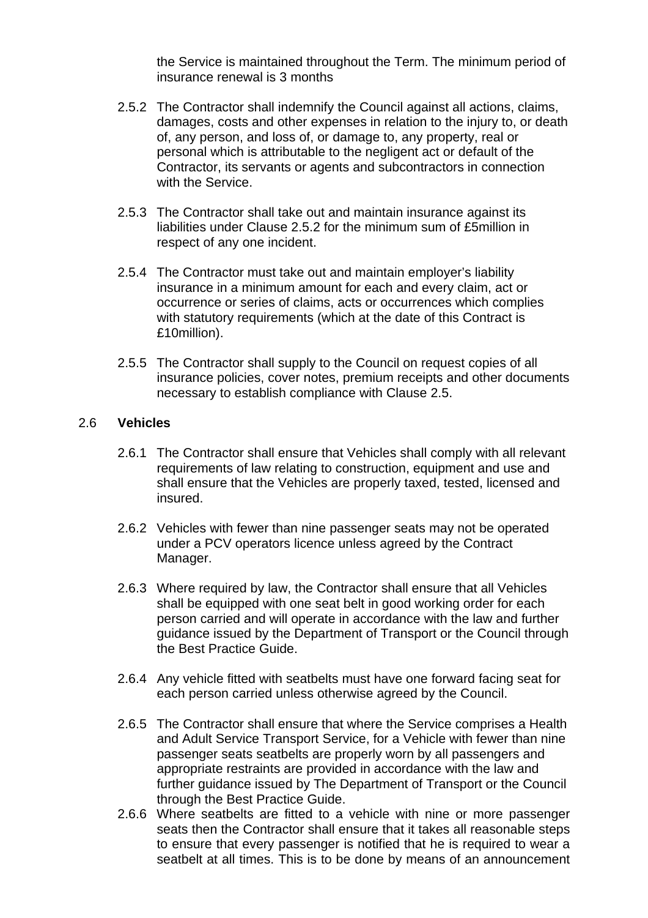the Service is maintained throughout the Term. The minimum period of insurance renewal is 3 months

- 2.5.2 The Contractor shall indemnify the Council against all actions, claims, damages, costs and other expenses in relation to the injury to, or death of, any person, and loss of, or damage to, any property, real or personal which is attributable to the negligent act or default of the Contractor, its servants or agents and subcontractors in connection with the Service.
- 2.5.3 The Contractor shall take out and maintain insurance against its liabilities under Clause 2.5.2 for the minimum sum of £5million in respect of any one incident.
- 2.5.4 The Contractor must take out and maintain employer's liability insurance in a minimum amount for each and every claim, act or occurrence or series of claims, acts or occurrences which complies with statutory requirements (which at the date of this Contract is £10million).
- 2.5.5 The Contractor shall supply to the Council on request copies of all insurance policies, cover notes, premium receipts and other documents necessary to establish compliance with Clause 2.5.

### 2.6 **Vehicles**

- 2.6.1 The Contractor shall ensure that Vehicles shall comply with all relevant requirements of law relating to construction, equipment and use and shall ensure that the Vehicles are properly taxed, tested, licensed and insured.
- 2.6.2 Vehicles with fewer than nine passenger seats may not be operated under a PCV operators licence unless agreed by the Contract Manager.
- 2.6.3 Where required by law, the Contractor shall ensure that all Vehicles shall be equipped with one seat belt in good working order for each person carried and will operate in accordance with the law and further guidance issued by the Department of Transport or the Council through the Best Practice Guide.
- 2.6.4 Any vehicle fitted with seatbelts must have one forward facing seat for each person carried unless otherwise agreed by the Council.
- 2.6.5 The Contractor shall ensure that where the Service comprises a Health and Adult Service Transport Service, for a Vehicle with fewer than nine passenger seats seatbelts are properly worn by all passengers and appropriate restraints are provided in accordance with the law and further guidance issued by The Department of Transport or the Council through the Best Practice Guide.
- 2.6.6 Where seatbelts are fitted to a vehicle with nine or more passenger seats then the Contractor shall ensure that it takes all reasonable steps to ensure that every passenger is notified that he is required to wear a seatbelt at all times. This is to be done by means of an announcement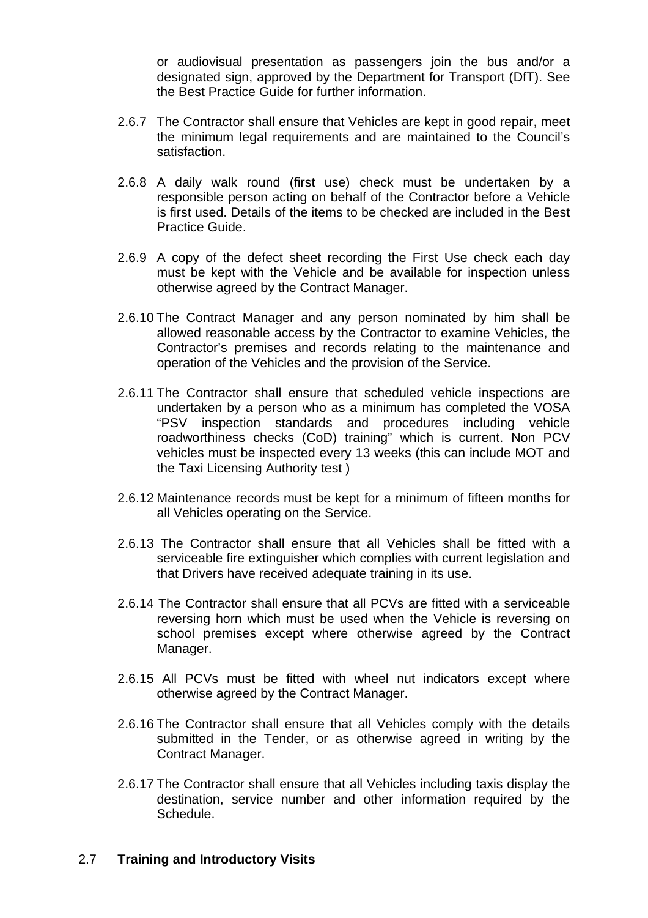or audiovisual presentation as passengers join the bus and/or a designated sign, approved by the Department for Transport (DfT). See the Best Practice Guide for further information.

- 2.6.7 The Contractor shall ensure that Vehicles are kept in good repair, meet the minimum legal requirements and are maintained to the Council's satisfaction.
- 2.6.8 A daily walk round (first use) check must be undertaken by a responsible person acting on behalf of the Contractor before a Vehicle is first used. Details of the items to be checked are included in the Best Practice Guide.
- 2.6.9 A copy of the defect sheet recording the First Use check each day must be kept with the Vehicle and be available for inspection unless otherwise agreed by the Contract Manager.
- 2.6.10 The Contract Manager and any person nominated by him shall be allowed reasonable access by the Contractor to examine Vehicles, the Contractor's premises and records relating to the maintenance and operation of the Vehicles and the provision of the Service.
- 2.6.11 The Contractor shall ensure that scheduled vehicle inspections are undertaken by a person who as a minimum has completed the VOSA "PSV inspection standards and procedures including vehicle roadworthiness checks (CoD) training" which is current. Non PCV vehicles must be inspected every 13 weeks (this can include MOT and the Taxi Licensing Authority test )
- 2.6.12 Maintenance records must be kept for a minimum of fifteen months for all Vehicles operating on the Service.
- 2.6.13 The Contractor shall ensure that all Vehicles shall be fitted with a serviceable fire extinguisher which complies with current legislation and that Drivers have received adequate training in its use.
- 2.6.14 The Contractor shall ensure that all PCVs are fitted with a serviceable reversing horn which must be used when the Vehicle is reversing on school premises except where otherwise agreed by the Contract Manager.
- 2.6.15 All PCVs must be fitted with wheel nut indicators except where otherwise agreed by the Contract Manager.
- 2.6.16 The Contractor shall ensure that all Vehicles comply with the details submitted in the Tender, or as otherwise agreed in writing by the Contract Manager.
- 2.6.17 The Contractor shall ensure that all Vehicles including taxis display the destination, service number and other information required by the Schedule.

### 2.7 **Training and Introductory Visits**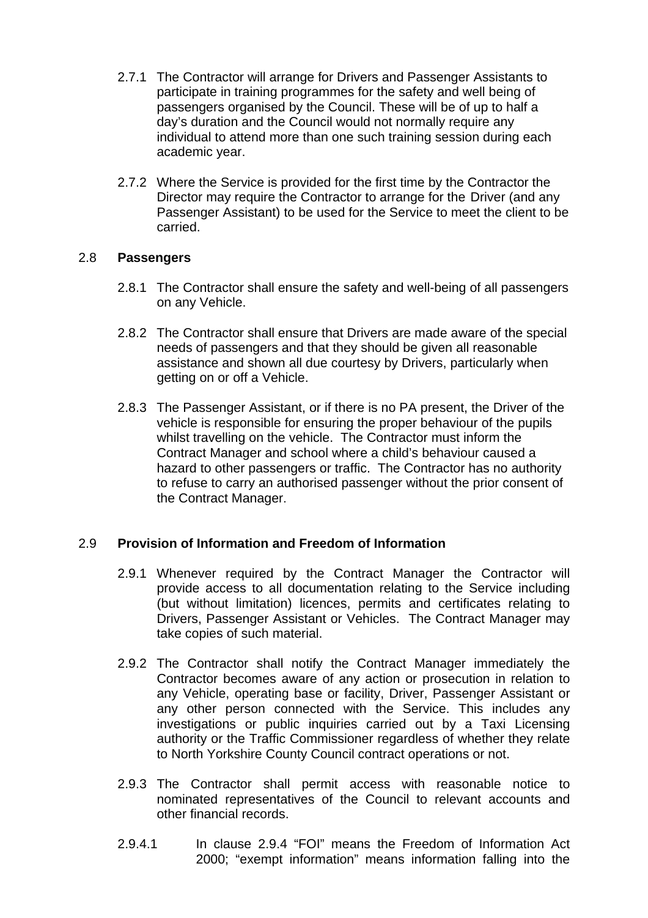- 2.7.1 The Contractor will arrange for Drivers and Passenger Assistants to participate in training programmes for the safety and well being of passengers organised by the Council. These will be of up to half a day's duration and the Council would not normally require any individual to attend more than one such training session during each academic year.
- 2.7.2 Where the Service is provided for the first time by the Contractor the Director may require the Contractor to arrange for the Driver (and any Passenger Assistant) to be used for the Service to meet the client to be carried.

### 2.8 **Passengers**

- 2.8.1 The Contractor shall ensure the safety and well-being of all passengers on any Vehicle.
- 2.8.2 The Contractor shall ensure that Drivers are made aware of the special needs of passengers and that they should be given all reasonable assistance and shown all due courtesy by Drivers, particularly when getting on or off a Vehicle.
- 2.8.3 The Passenger Assistant, or if there is no PA present, the Driver of the vehicle is responsible for ensuring the proper behaviour of the pupils whilst travelling on the vehicle. The Contractor must inform the Contract Manager and school where a child's behaviour caused a hazard to other passengers or traffic. The Contractor has no authority to refuse to carry an authorised passenger without the prior consent of the Contract Manager.

### 2.9 **Provision of Information and Freedom of Information**

- 2.9.1 Whenever required by the Contract Manager the Contractor will provide access to all documentation relating to the Service including (but without limitation) licences, permits and certificates relating to Drivers, Passenger Assistant or Vehicles. The Contract Manager may take copies of such material.
- 2.9.2 The Contractor shall notify the Contract Manager immediately the Contractor becomes aware of any action or prosecution in relation to any Vehicle, operating base or facility, Driver, Passenger Assistant or any other person connected with the Service. This includes any investigations or public inquiries carried out by a Taxi Licensing authority or the Traffic Commissioner regardless of whether they relate to North Yorkshire County Council contract operations or not.
- 2.9.3 The Contractor shall permit access with reasonable notice to nominated representatives of the Council to relevant accounts and other financial records.
- 2.9.4.1 In clause 2.9.4 "FOI" means the Freedom of Information Act 2000; "exempt information" means information falling into the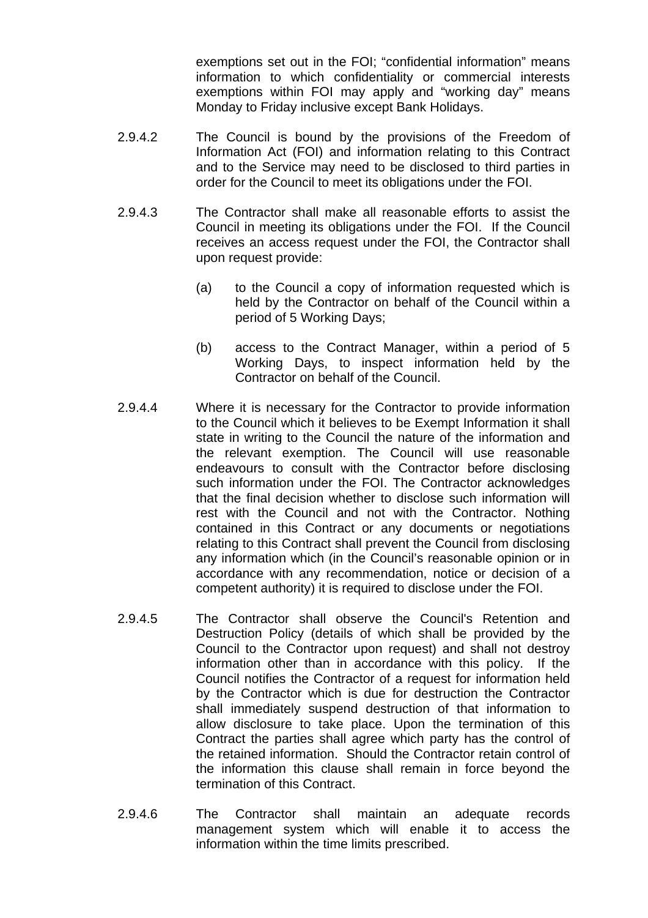exemptions set out in the FOI; "confidential information" means information to which confidentiality or commercial interests exemptions within FOI may apply and "working day" means Monday to Friday inclusive except Bank Holidays.

- 2.9.4.2 The Council is bound by the provisions of the Freedom of Information Act (FOI) and information relating to this Contract and to the Service may need to be disclosed to third parties in order for the Council to meet its obligations under the FOI.
- 2.9.4.3 The Contractor shall make all reasonable efforts to assist the Council in meeting its obligations under the FOI. If the Council receives an access request under the FOI, the Contractor shall upon request provide:
	- (a) to the Council a copy of information requested which is held by the Contractor on behalf of the Council within a period of 5 Working Days;
	- (b) access to the Contract Manager, within a period of 5 Working Days, to inspect information held by the Contractor on behalf of the Council.
- 2.9.4.4 Where it is necessary for the Contractor to provide information to the Council which it believes to be Exempt Information it shall state in writing to the Council the nature of the information and the relevant exemption. The Council will use reasonable endeavours to consult with the Contractor before disclosing such information under the FOI. The Contractor acknowledges that the final decision whether to disclose such information will rest with the Council and not with the Contractor. Nothing contained in this Contract or any documents or negotiations relating to this Contract shall prevent the Council from disclosing any information which (in the Council's reasonable opinion or in accordance with any recommendation, notice or decision of a competent authority) it is required to disclose under the FOI.
- 2.9.4.5 The Contractor shall observe the Council's Retention and Destruction Policy (details of which shall be provided by the Council to the Contractor upon request) and shall not destroy information other than in accordance with this policy. If the Council notifies the Contractor of a request for information held by the Contractor which is due for destruction the Contractor shall immediately suspend destruction of that information to allow disclosure to take place. Upon the termination of this Contract the parties shall agree which party has the control of the retained information. Should the Contractor retain control of the information this clause shall remain in force beyond the termination of this Contract.
- 2.9.4.6 The Contractor shall maintain an adequate records management system which will enable it to access the information within the time limits prescribed.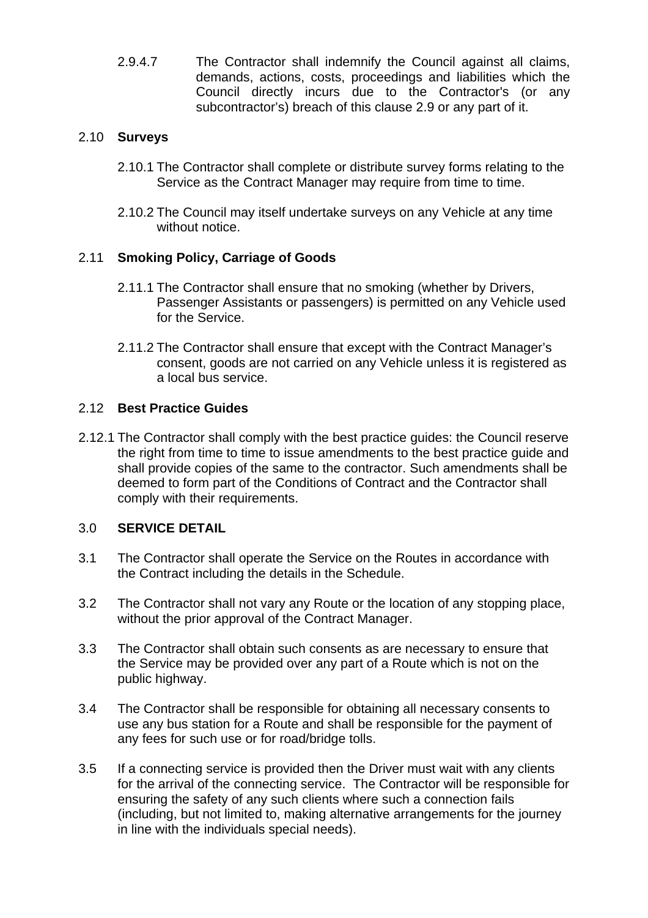2.9.4.7 The Contractor shall indemnify the Council against all claims, demands, actions, costs, proceedings and liabilities which the Council directly incurs due to the Contractor's (or any subcontractor's) breach of this clause 2.9 or any part of it.

### 2.10 **Surveys**

- 2.10.1 The Contractor shall complete or distribute survey forms relating to the Service as the Contract Manager may require from time to time.
- 2.10.2 The Council may itself undertake surveys on any Vehicle at any time without notice.

### 2.11 **Smoking Policy, Carriage of Goods**

- 2.11.1 The Contractor shall ensure that no smoking (whether by Drivers, Passenger Assistants or passengers) is permitted on any Vehicle used for the Service.
- 2.11.2 The Contractor shall ensure that except with the Contract Manager's consent, goods are not carried on any Vehicle unless it is registered as a local bus service.

### 2.12 **Best Practice Guides**

2.12.1 The Contractor shall comply with the best practice guides: the Council reserve the right from time to time to issue amendments to the best practice guide and shall provide copies of the same to the contractor. Such amendments shall be deemed to form part of the Conditions of Contract and the Contractor shall comply with their requirements.

### 3.0 **SERVICE DETAIL**

- 3.1 The Contractor shall operate the Service on the Routes in accordance with the Contract including the details in the Schedule.
- 3.2 The Contractor shall not vary any Route or the location of any stopping place, without the prior approval of the Contract Manager.
- 3.3 The Contractor shall obtain such consents as are necessary to ensure that the Service may be provided over any part of a Route which is not on the public highway.
- 3.4 The Contractor shall be responsible for obtaining all necessary consents to use any bus station for a Route and shall be responsible for the payment of any fees for such use or for road/bridge tolls.
- 3.5 If a connecting service is provided then the Driver must wait with any clients for the arrival of the connecting service. The Contractor will be responsible for ensuring the safety of any such clients where such a connection fails (including, but not limited to, making alternative arrangements for the journey in line with the individuals special needs).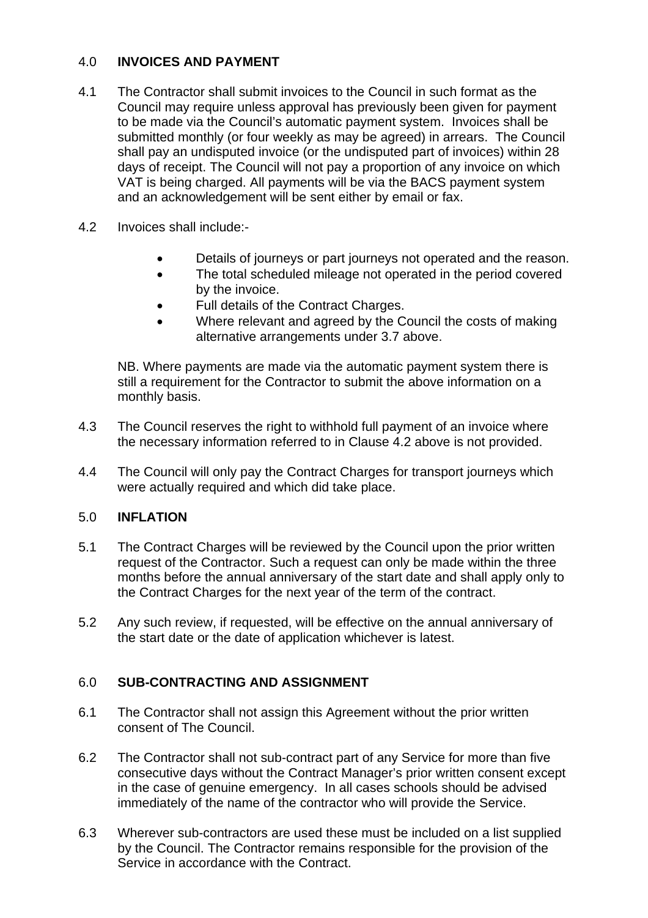### 4.0 **INVOICES AND PAYMENT**

- 4.1 The Contractor shall submit invoices to the Council in such format as the Council may require unless approval has previously been given for payment to be made via the Council's automatic payment system. Invoices shall be submitted monthly (or four weekly as may be agreed) in arrears. The Council shall pay an undisputed invoice (or the undisputed part of invoices) within 28 days of receipt. The Council will not pay a proportion of any invoice on which VAT is being charged. All payments will be via the BACS payment system and an acknowledgement will be sent either by email or fax.
- 4.2 Invoices shall include:-
	- Details of journeys or part journeys not operated and the reason.
	- The total scheduled mileage not operated in the period covered by the invoice.
	- Full details of the Contract Charges.
	- Where relevant and agreed by the Council the costs of making alternative arrangements under 3.7 above.

NB. Where payments are made via the automatic payment system there is still a requirement for the Contractor to submit the above information on a monthly basis.

- 4.3 The Council reserves the right to withhold full payment of an invoice where the necessary information referred to in Clause 4.2 above is not provided.
- 4.4 The Council will only pay the Contract Charges for transport journeys which were actually required and which did take place.

## 5.0 **INFLATION**

- 5.1 The Contract Charges will be reviewed by the Council upon the prior written request of the Contractor. Such a request can only be made within the three months before the annual anniversary of the start date and shall apply only to the Contract Charges for the next year of the term of the contract.
- 5.2 Any such review, if requested, will be effective on the annual anniversary of the start date or the date of application whichever is latest.

## 6.0 **SUB-CONTRACTING AND ASSIGNMENT**

- 6.1 The Contractor shall not assign this Agreement without the prior written consent of The Council.
- 6.2 The Contractor shall not sub-contract part of any Service for more than five consecutive days without the Contract Manager's prior written consent except in the case of genuine emergency. In all cases schools should be advised immediately of the name of the contractor who will provide the Service.
- 6.3 Wherever sub-contractors are used these must be included on a list supplied by the Council. The Contractor remains responsible for the provision of the Service in accordance with the Contract.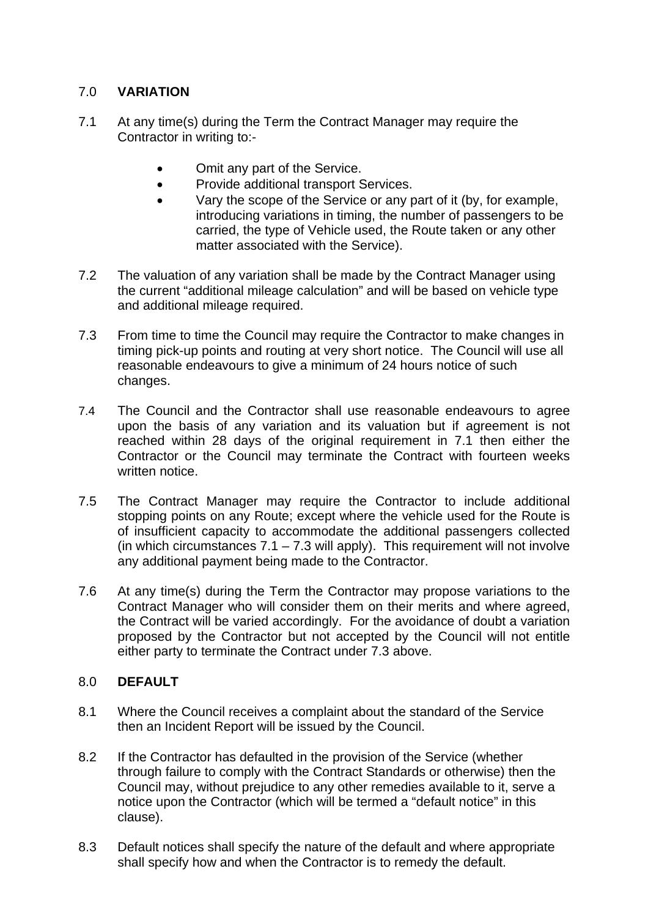# 7.0 **VARIATION**

- 7.1 At any time(s) during the Term the Contract Manager may require the Contractor in writing to:-
	- Omit any part of the Service.
	- Provide additional transport Services.
	- Vary the scope of the Service or any part of it (by, for example, introducing variations in timing, the number of passengers to be carried, the type of Vehicle used, the Route taken or any other matter associated with the Service).
- 7.2 The valuation of any variation shall be made by the Contract Manager using the current "additional mileage calculation" and will be based on vehicle type and additional mileage required.
- 7.3 From time to time the Council may require the Contractor to make changes in timing pick-up points and routing at very short notice. The Council will use all reasonable endeavours to give a minimum of 24 hours notice of such changes.
- 7.4 The Council and the Contractor shall use reasonable endeavours to agree upon the basis of any variation and its valuation but if agreement is not reached within 28 days of the original requirement in 7.1 then either the Contractor or the Council may terminate the Contract with fourteen weeks written notice.
- 7.5 The Contract Manager may require the Contractor to include additional stopping points on any Route; except where the vehicle used for the Route is of insufficient capacity to accommodate the additional passengers collected (in which circumstances  $7.1 - 7.3$  will apply). This requirement will not involve any additional payment being made to the Contractor.
- 7.6 At any time(s) during the Term the Contractor may propose variations to the Contract Manager who will consider them on their merits and where agreed, the Contract will be varied accordingly. For the avoidance of doubt a variation proposed by the Contractor but not accepted by the Council will not entitle either party to terminate the Contract under 7.3 above.

## 8.0 **DEFAULT**

- 8.1 Where the Council receives a complaint about the standard of the Service then an Incident Report will be issued by the Council.
- 8.2 If the Contractor has defaulted in the provision of the Service (whether through failure to comply with the Contract Standards or otherwise) then the Council may, without prejudice to any other remedies available to it, serve a notice upon the Contractor (which will be termed a "default notice" in this clause).
- 8.3 Default notices shall specify the nature of the default and where appropriate shall specify how and when the Contractor is to remedy the default.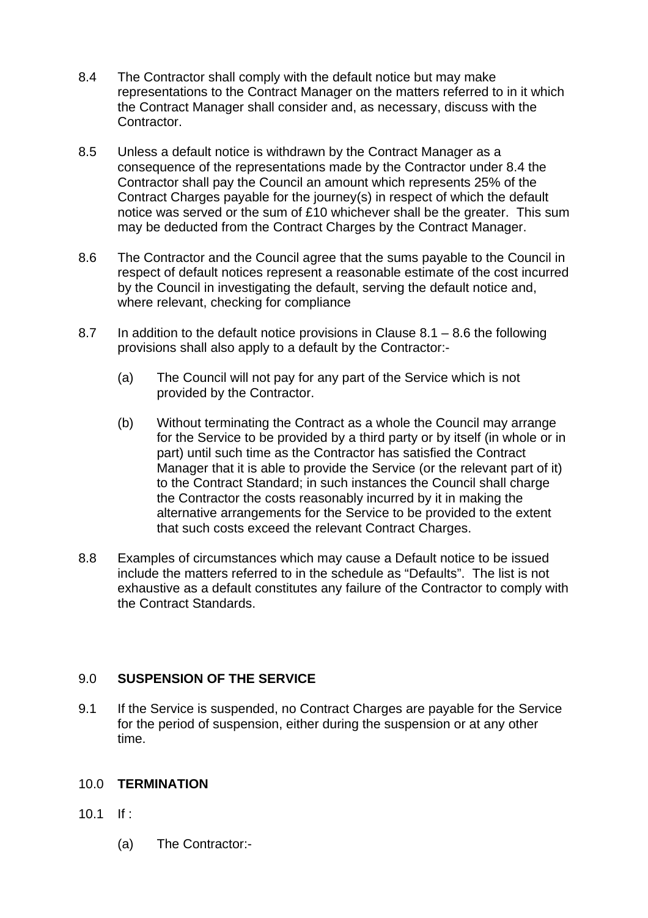- 8.4 The Contractor shall comply with the default notice but may make representations to the Contract Manager on the matters referred to in it which the Contract Manager shall consider and, as necessary, discuss with the Contractor.
- 8.5 Unless a default notice is withdrawn by the Contract Manager as a consequence of the representations made by the Contractor under 8.4 the Contractor shall pay the Council an amount which represents 25% of the Contract Charges payable for the journey(s) in respect of which the default notice was served or the sum of £10 whichever shall be the greater. This sum may be deducted from the Contract Charges by the Contract Manager.
- 8.6 The Contractor and the Council agree that the sums payable to the Council in respect of default notices represent a reasonable estimate of the cost incurred by the Council in investigating the default, serving the default notice and, where relevant, checking for compliance
- 8.7 In addition to the default notice provisions in Clause 8.1 8.6 the following provisions shall also apply to a default by the Contractor:-
	- (a) The Council will not pay for any part of the Service which is not provided by the Contractor.
	- (b) Without terminating the Contract as a whole the Council may arrange for the Service to be provided by a third party or by itself (in whole or in part) until such time as the Contractor has satisfied the Contract Manager that it is able to provide the Service (or the relevant part of it) to the Contract Standard; in such instances the Council shall charge the Contractor the costs reasonably incurred by it in making the alternative arrangements for the Service to be provided to the extent that such costs exceed the relevant Contract Charges.
- 8.8 Examples of circumstances which may cause a Default notice to be issued include the matters referred to in the schedule as "Defaults". The list is not exhaustive as a default constitutes any failure of the Contractor to comply with the Contract Standards.

## 9.0 **SUSPENSION OF THE SERVICE**

9.1 If the Service is suspended, no Contract Charges are payable for the Service for the period of suspension, either during the suspension or at any other time.

### 10.0 **TERMINATION**

- 10.1 If :
	- (a) The Contractor:-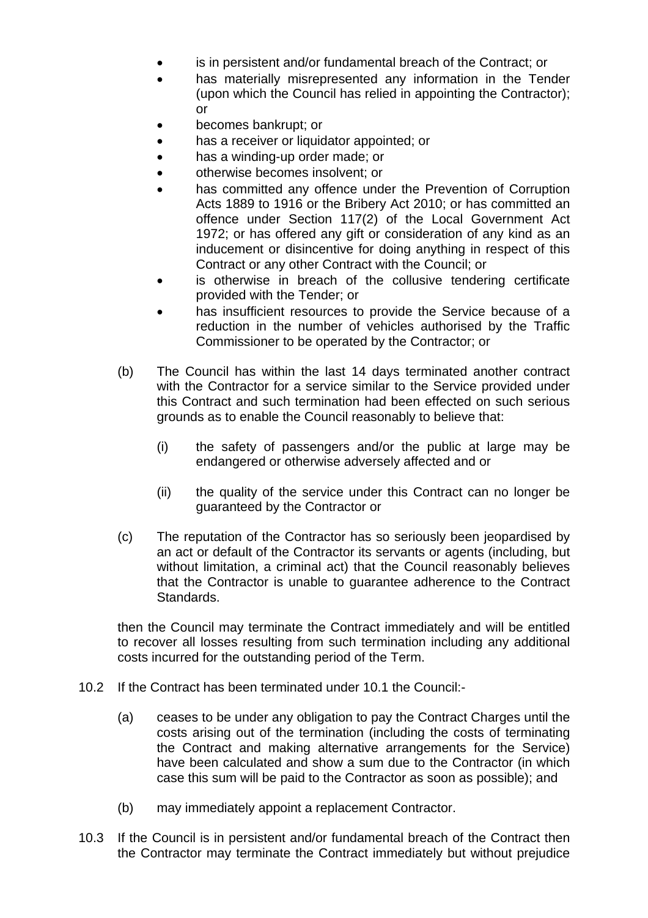- is in persistent and/or fundamental breach of the Contract; or
- has materially misrepresented any information in the Tender (upon which the Council has relied in appointing the Contractor); or
- becomes bankrupt; or
- has a receiver or liquidator appointed; or
- has a winding-up order made; or
- otherwise becomes insolvent; or
- has committed any offence under the Prevention of Corruption Acts 1889 to 1916 or the Bribery Act 2010; or has committed an offence under Section 117(2) of the Local Government Act 1972; or has offered any gift or consideration of any kind as an inducement or disincentive for doing anything in respect of this Contract or any other Contract with the Council; or
- is otherwise in breach of the collusive tendering certificate provided with the Tender; or
- has insufficient resources to provide the Service because of a reduction in the number of vehicles authorised by the Traffic Commissioner to be operated by the Contractor; or
- (b) The Council has within the last 14 days terminated another contract with the Contractor for a service similar to the Service provided under this Contract and such termination had been effected on such serious grounds as to enable the Council reasonably to believe that:
	- (i) the safety of passengers and/or the public at large may be endangered or otherwise adversely affected and or
	- (ii) the quality of the service under this Contract can no longer be guaranteed by the Contractor or
- (c) The reputation of the Contractor has so seriously been jeopardised by an act or default of the Contractor its servants or agents (including, but without limitation, a criminal act) that the Council reasonably believes that the Contractor is unable to guarantee adherence to the Contract Standards.

 then the Council may terminate the Contract immediately and will be entitled to recover all losses resulting from such termination including any additional costs incurred for the outstanding period of the Term.

- 10.2 If the Contract has been terminated under 10.1 the Council:-
	- (a) ceases to be under any obligation to pay the Contract Charges until the costs arising out of the termination (including the costs of terminating the Contract and making alternative arrangements for the Service) have been calculated and show a sum due to the Contractor (in which case this sum will be paid to the Contractor as soon as possible); and
	- (b) may immediately appoint a replacement Contractor.
- 10.3 If the Council is in persistent and/or fundamental breach of the Contract then the Contractor may terminate the Contract immediately but without prejudice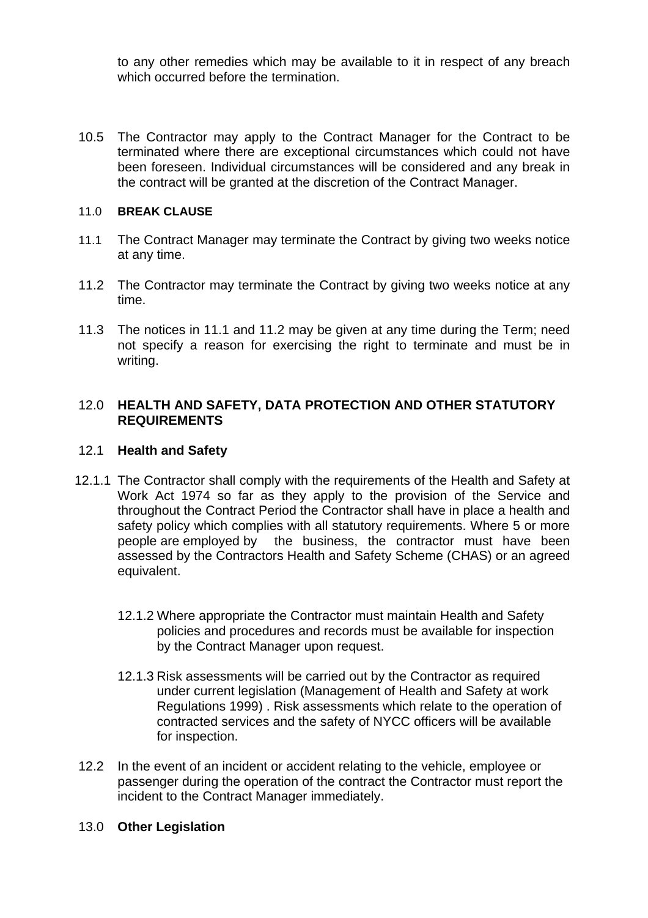to any other remedies which may be available to it in respect of any breach which occurred before the termination.

10.5 The Contractor may apply to the Contract Manager for the Contract to be terminated where there are exceptional circumstances which could not have been foreseen. Individual circumstances will be considered and any break in the contract will be granted at the discretion of the Contract Manager.

#### 11.0 **BREAK CLAUSE**

- 11.1 The Contract Manager may terminate the Contract by giving two weeks notice at any time.
- 11.2 The Contractor may terminate the Contract by giving two weeks notice at any time.
- 11.3 The notices in 11.1 and 11.2 may be given at any time during the Term; need not specify a reason for exercising the right to terminate and must be in writing.

### 12.0 **HEALTH AND SAFETY, DATA PROTECTION AND OTHER STATUTORY REQUIREMENTS**

### 12.1 **Health and Safety**

- 12.1.1 The Contractor shall comply with the requirements of the Health and Safety at Work Act 1974 so far as they apply to the provision of the Service and throughout the Contract Period the Contractor shall have in place a health and safety policy which complies with all statutory requirements. Where 5 or more people are employed by the business, the contractor must have been assessed by the Contractors Health and Safety Scheme (CHAS) or an agreed equivalent.
	- 12.1.2 Where appropriate the Contractor must maintain Health and Safety policies and procedures and records must be available for inspection by the Contract Manager upon request.
	- 12.1.3 Risk assessments will be carried out by the Contractor as required under current legislation (Management of Health and Safety at work Regulations 1999) . Risk assessments which relate to the operation of contracted services and the safety of NYCC officers will be available for inspection.
- 12.2 In the event of an incident or accident relating to the vehicle, employee or passenger during the operation of the contract the Contractor must report the incident to the Contract Manager immediately.
- 13.0 **Other Legislation**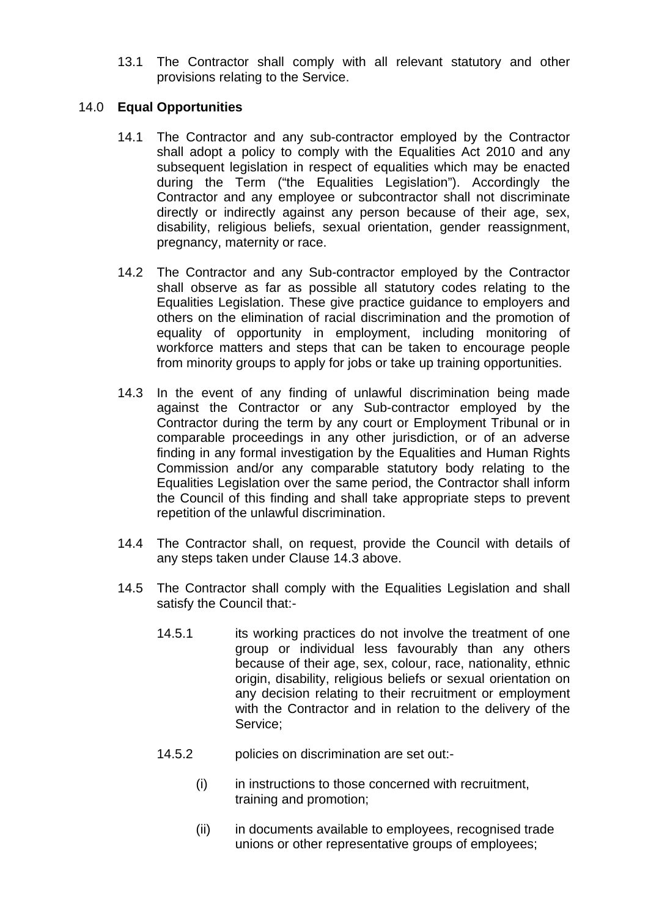13.1 The Contractor shall comply with all relevant statutory and other provisions relating to the Service.

### 14.0 **Equal Opportunities**

- 14.1 The Contractor and any sub-contractor employed by the Contractor shall adopt a policy to comply with the Equalities Act 2010 and any subsequent legislation in respect of equalities which may be enacted during the Term ("the Equalities Legislation"). Accordingly the Contractor and any employee or subcontractor shall not discriminate directly or indirectly against any person because of their age, sex, disability, religious beliefs, sexual orientation, gender reassignment, pregnancy, maternity or race.
- 14.2 The Contractor and any Sub-contractor employed by the Contractor shall observe as far as possible all statutory codes relating to the Equalities Legislation. These give practice guidance to employers and others on the elimination of racial discrimination and the promotion of equality of opportunity in employment, including monitoring of workforce matters and steps that can be taken to encourage people from minority groups to apply for jobs or take up training opportunities.
- 14.3 In the event of any finding of unlawful discrimination being made against the Contractor or any Sub-contractor employed by the Contractor during the term by any court or Employment Tribunal or in comparable proceedings in any other jurisdiction, or of an adverse finding in any formal investigation by the Equalities and Human Rights Commission and/or any comparable statutory body relating to the Equalities Legislation over the same period, the Contractor shall inform the Council of this finding and shall take appropriate steps to prevent repetition of the unlawful discrimination.
- 14.4 The Contractor shall, on request, provide the Council with details of any steps taken under Clause 14.3 above.
- 14.5 The Contractor shall comply with the Equalities Legislation and shall satisfy the Council that:-
	- 14.5.1 its working practices do not involve the treatment of one group or individual less favourably than any others because of their age, sex, colour, race, nationality, ethnic origin, disability, religious beliefs or sexual orientation on any decision relating to their recruitment or employment with the Contractor and in relation to the delivery of the Service;
	- 14.5.2 policies on discrimination are set out:-
		- (i) in instructions to those concerned with recruitment, training and promotion;
		- (ii) in documents available to employees, recognised trade unions or other representative groups of employees;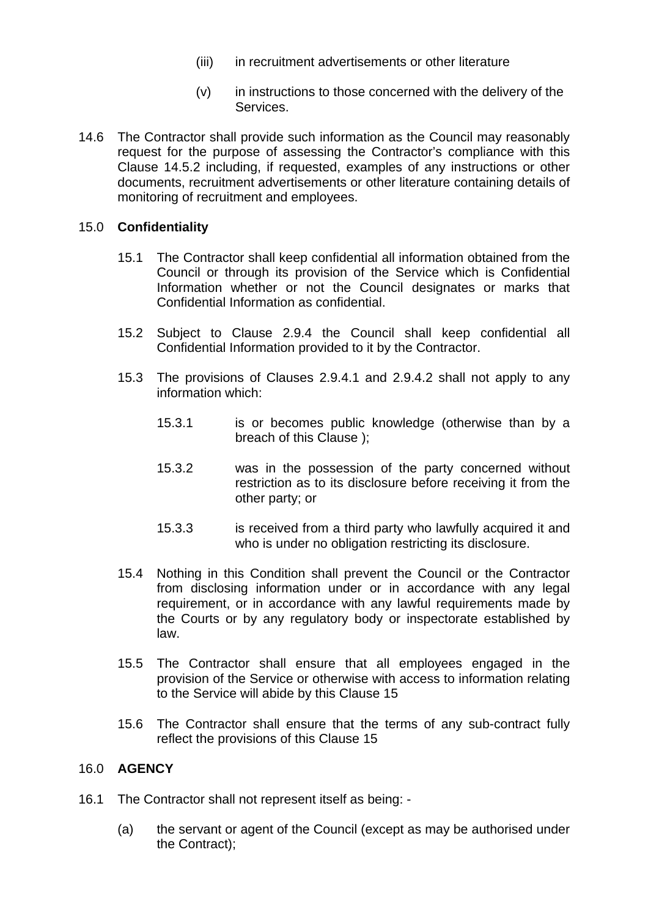- (iii) in recruitment advertisements or other literature
- (v) in instructions to those concerned with the delivery of the Services.
- 14.6 The Contractor shall provide such information as the Council may reasonably request for the purpose of assessing the Contractor's compliance with this Clause 14.5.2 including, if requested, examples of any instructions or other documents, recruitment advertisements or other literature containing details of monitoring of recruitment and employees.

### 15.0 **Confidentiality**

- 15.1 The Contractor shall keep confidential all information obtained from the Council or through its provision of the Service which is Confidential Information whether or not the Council designates or marks that Confidential Information as confidential.
- 15.2 Subject to Clause 2.9.4 the Council shall keep confidential all Confidential Information provided to it by the Contractor.
- 15.3 The provisions of Clauses 2.9.4.1 and 2.9.4.2 shall not apply to any information which:
	- 15.3.1 is or becomes public knowledge (otherwise than by a breach of this Clause );
	- 15.3.2 was in the possession of the party concerned without restriction as to its disclosure before receiving it from the other party; or
	- 15.3.3 is received from a third party who lawfully acquired it and who is under no obligation restricting its disclosure.
- 15.4 Nothing in this Condition shall prevent the Council or the Contractor from disclosing information under or in accordance with any legal requirement, or in accordance with any lawful requirements made by the Courts or by any regulatory body or inspectorate established by law.
- 15.5 The Contractor shall ensure that all employees engaged in the provision of the Service or otherwise with access to information relating to the Service will abide by this Clause 15
- 15.6 The Contractor shall ensure that the terms of any sub-contract fully reflect the provisions of this Clause 15

### 16.0 **AGENCY**

- 16.1 The Contractor shall not represent itself as being:
	- (a) the servant or agent of the Council (except as may be authorised under the Contract);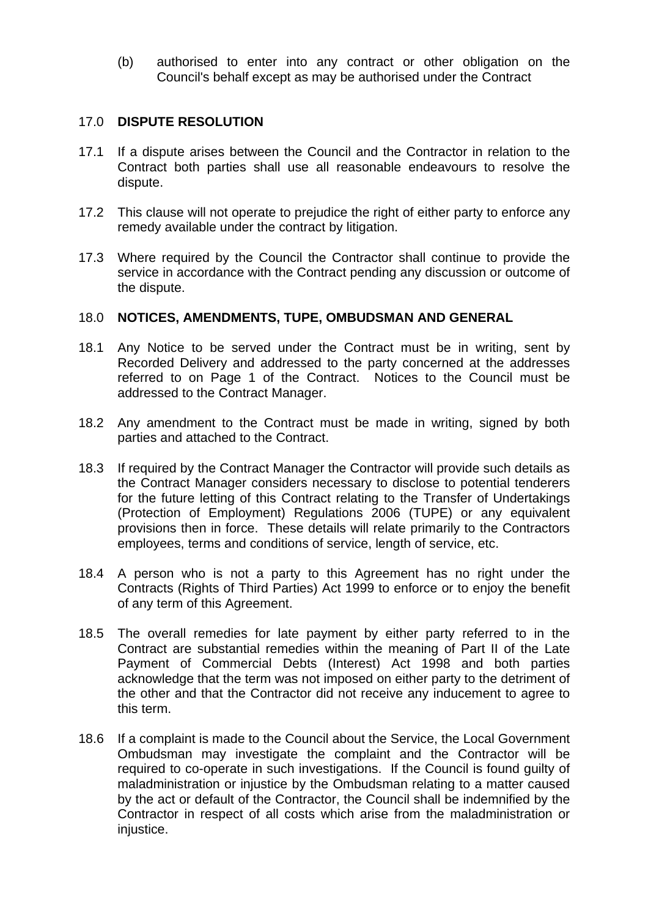(b) authorised to enter into any contract or other obligation on the Council's behalf except as may be authorised under the Contract

### 17.0 **DISPUTE RESOLUTION**

- 17.1 If a dispute arises between the Council and the Contractor in relation to the Contract both parties shall use all reasonable endeavours to resolve the dispute.
- 17.2 This clause will not operate to prejudice the right of either party to enforce any remedy available under the contract by litigation.
- 17.3 Where required by the Council the Contractor shall continue to provide the service in accordance with the Contract pending any discussion or outcome of the dispute.

### 18.0 **NOTICES, AMENDMENTS, TUPE, OMBUDSMAN AND GENERAL**

- 18.1 Any Notice to be served under the Contract must be in writing, sent by Recorded Delivery and addressed to the party concerned at the addresses referred to on Page 1 of the Contract. Notices to the Council must be addressed to the Contract Manager.
- 18.2 Any amendment to the Contract must be made in writing, signed by both parties and attached to the Contract.
- 18.3 If required by the Contract Manager the Contractor will provide such details as the Contract Manager considers necessary to disclose to potential tenderers for the future letting of this Contract relating to the Transfer of Undertakings (Protection of Employment) Regulations 2006 (TUPE) or any equivalent provisions then in force. These details will relate primarily to the Contractors employees, terms and conditions of service, length of service, etc.
- 18.4 A person who is not a party to this Agreement has no right under the Contracts (Rights of Third Parties) Act 1999 to enforce or to enjoy the benefit of any term of this Agreement.
- 18.5 The overall remedies for late payment by either party referred to in the Contract are substantial remedies within the meaning of Part II of the Late Payment of Commercial Debts (Interest) Act 1998 and both parties acknowledge that the term was not imposed on either party to the detriment of the other and that the Contractor did not receive any inducement to agree to this term.
- 18.6 If a complaint is made to the Council about the Service, the Local Government Ombudsman may investigate the complaint and the Contractor will be required to co-operate in such investigations. If the Council is found guilty of maladministration or injustice by the Ombudsman relating to a matter caused by the act or default of the Contractor, the Council shall be indemnified by the Contractor in respect of all costs which arise from the maladministration or iniustice.